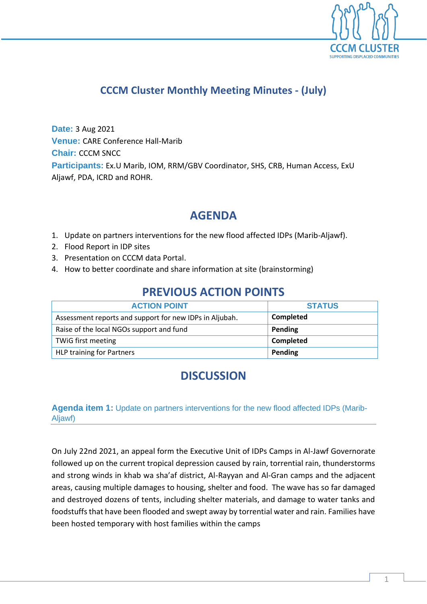

## **CCCM Cluster Monthly Meeting Minutes - (July)**

**Date:** 3 Aug 2021 **Venue:** CARE Conference Hall-Marib **Chair:** CCCM SNCC **Participants:** Ex.U Marib, IOM, RRM/GBV Coordinator, SHS, CRB, Human Access, ExU Aljawf, PDA, ICRD and ROHR.

## **AGENDA**

- 1. Update on partners interventions for the new flood affected IDPs (Marib-Aljawf).
- 2. Flood Report in IDP sites
- 3. Presentation on CCCM data Portal.
- 4. How to better coordinate and share information at site (brainstorming)

## **PREVIOUS ACTION POINTS**

| <b>ACTION POINT</b>                                     | <b>STATUS</b> |  |
|---------------------------------------------------------|---------------|--|
| Assessment reports and support for new IDPs in Aljubah. | Completed     |  |
| Raise of the local NGOs support and fund                | Pending       |  |
| <b>TWIG first meeting</b>                               | Completed     |  |
| <b>HLP training for Partners</b>                        | Pending       |  |

# **DISCUSSION**

### **Agenda item 1:** Update on partners interventions for the new flood affected IDPs (Marib-Aljawf)

On July 22nd 2021, an appeal form the Executive Unit of IDPs Camps in Al-Jawf Governorate followed up on the current tropical depression caused by rain, torrential rain, thunderstorms and strong winds in khab wa sha'af district, Al-Rayyan and Al-Gran camps and the adjacent areas, causing multiple damages to housing, shelter and food. The wave has so far damaged and destroyed dozens of tents, including shelter materials, and damage to water tanks and foodstuffs that have been flooded and swept away by torrential water and rain. Families have been hosted temporary with host families within the camps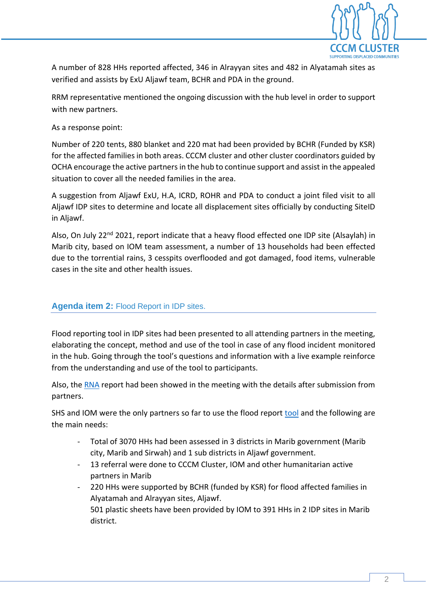

A number of 828 HHs reported affected, 346 in Alrayyan sites and 482 in Alyatamah sites as verified and assists by ExU Aljawf team, BCHR and PDA in the ground.

RRM representative mentioned the ongoing discussion with the hub level in order to support with new partners.

As a response point:

Number of 220 tents, 880 blanket and 220 mat had been provided by BCHR (Funded by KSR) for the affected families in both areas. CCCM cluster and other cluster coordinators guided by OCHA encourage the active partnersin the hub to continue support and assist in the appealed situation to cover all the needed families in the area.

A suggestion from Aljawf ExU, H.A, ICRD, ROHR and PDA to conduct a joint filed visit to all Aljawf IDP sites to determine and locate all displacement sites officially by conducting SiteID in Aljawf.

Also, On July 22<sup>nd</sup> 2021, report indicate that a heavy flood effected one IDP site (Alsaylah) in Marib city, based on IOM team assessment, a number of 13 households had been effected due to the torrential rains, 3 cesspits overflooded and got damaged, food items, vulnerable cases in the site and other health issues.

### **Agenda item 2:** Flood Report in IDP sites.

Flood reporting tool in IDP sites had been presented to all attending partners in the meeting, elaborating the concept, method and use of the tool in case of any flood incident monitored in the hub. Going through the tool's questions and information with a live example reinforce from the understanding and use of the tool to participants.

Also, the [RNA](https://docs.google.com/spreadsheets/d/19MVfAVVnSDxAcm2O_sZdhUzf2vEUN5IbpCT82otPS_U/edit#gid=0) report had been showed in the meeting with the details after submission from partners.

SHS and IOM were the only partners so far to use the flood report [tool](https://ee.humanitarianresponse.info/x/4UcaaLKS) and the following are the main needs:

- Total of 3070 HHs had been assessed in 3 districts in Marib government (Marib city, Marib and Sirwah) and 1 sub districts in Aljawf government.
- 13 referral were done to CCCM Cluster, IOM and other humanitarian active partners in Marib
- 220 HHs were supported by BCHR (funded by KSR) for flood affected families in Alyatamah and Alrayyan sites, Aljawf. 501 plastic sheets have been provided by IOM to 391 HHs in 2 IDP sites in Marib district.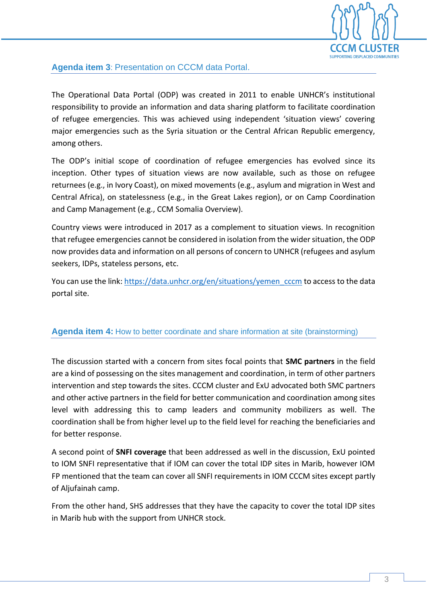

### **Agenda item 3**: Presentation on CCCM data Portal.

The Operational Data Portal (ODP) was created in 2011 to enable UNHCR's institutional responsibility to provide an information and data sharing platform to facilitate coordination of refugee emergencies. This was achieved using independent 'situation views' covering major emergencies such as the Syria situation or the Central African Republic emergency, among others.

The ODP's initial scope of coordination of refugee emergencies has evolved since its inception. Other types of situation views are now available, such as those on refugee returnees (e.g., in Ivory Coast), on mixed movements (e.g., asylum and migration in West and Central Africa), on statelessness (e.g., in the Great Lakes region), or on Camp Coordination and Camp Management (e.g., CCM Somalia Overview).

Country views were introduced in 2017 as a complement to situation views. In recognition that refugee emergencies cannot be considered in isolation from the wider situation, the ODP now provides data and information on all persons of concern to UNHCR (refugees and asylum seekers, IDPs, stateless persons, etc.

You can use the link: [https://data.unhcr.org/en/situations/yemen\\_cccm](https://data.unhcr.org/en/situations/yemen_cccm) to access to the data portal site.

### **Agenda item 4:** How to better coordinate and share information at site (brainstorming)

The discussion started with a concern from sites focal points that **SMC partners** in the field are a kind of possessing on the sites management and coordination, in term of other partners intervention and step towards the sites. CCCM cluster and ExU advocated both SMC partners and other active partners in the field for better communication and coordination among sites level with addressing this to camp leaders and community mobilizers as well. The coordination shall be from higher level up to the field level for reaching the beneficiaries and for better response.

A second point of **SNFI coverage** that been addressed as well in the discussion, ExU pointed to IOM SNFI representative that if IOM can cover the total IDP sites in Marib, however IOM FP mentioned that the team can cover all SNFI requirements in IOM CCCM sites except partly of Aljufainah camp.

From the other hand, SHS addresses that they have the capacity to cover the total IDP sites in Marib hub with the support from UNHCR stock.